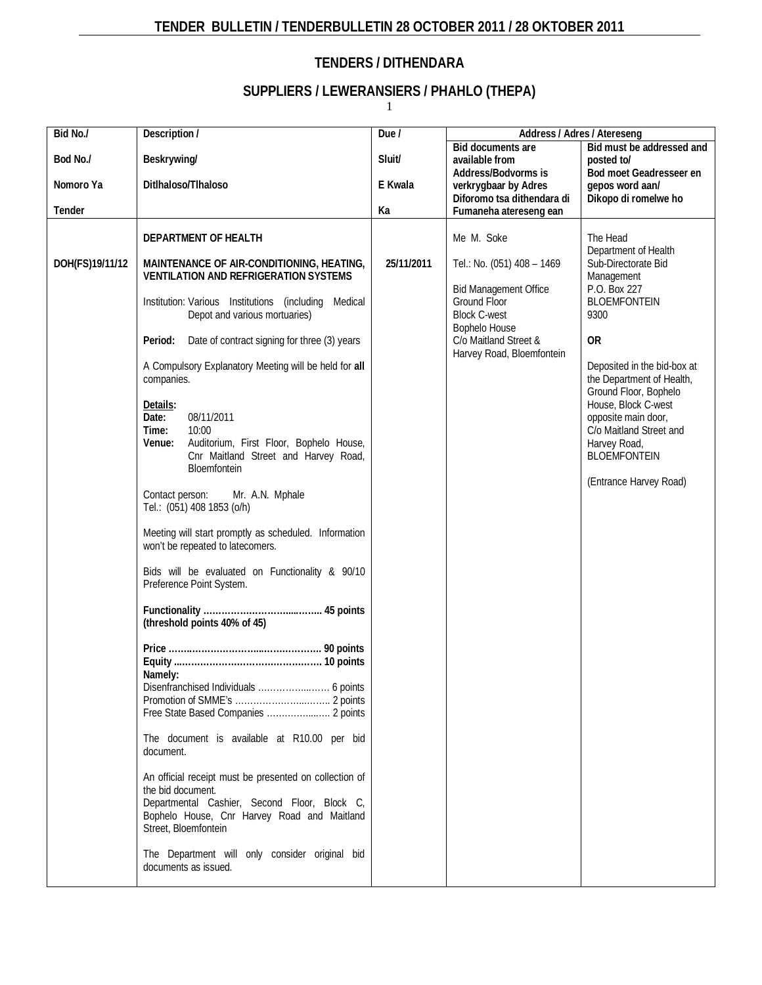# **TENDER BULLETIN / TENDERBULLETIN 28 OCTOBER 2011 / 28 OKTOBER 2011**

# **TENDERS / DITHENDARA**

# **SUPPLIERS / LEWERANSIERS / PHAHLO (THEPA)**

1

| Bid No./        | Description /                                                                                                                                                                                                                                                                                                                                                                                                                                                                                                                                                                                                                                                                                                                                                                                                                                                                                                                                                                                                                                                                                                                                         | Due /      | Address / Adres / Atereseng                                                                                                                                                                                          |                                                                                                                                                                                                                                                                                                                                                                                          |
|-----------------|-------------------------------------------------------------------------------------------------------------------------------------------------------------------------------------------------------------------------------------------------------------------------------------------------------------------------------------------------------------------------------------------------------------------------------------------------------------------------------------------------------------------------------------------------------------------------------------------------------------------------------------------------------------------------------------------------------------------------------------------------------------------------------------------------------------------------------------------------------------------------------------------------------------------------------------------------------------------------------------------------------------------------------------------------------------------------------------------------------------------------------------------------------|------------|----------------------------------------------------------------------------------------------------------------------------------------------------------------------------------------------------------------------|------------------------------------------------------------------------------------------------------------------------------------------------------------------------------------------------------------------------------------------------------------------------------------------------------------------------------------------------------------------------------------------|
| Bod No./        | Beskrywing/                                                                                                                                                                                                                                                                                                                                                                                                                                                                                                                                                                                                                                                                                                                                                                                                                                                                                                                                                                                                                                                                                                                                           | Sluit/     | Bid documents are<br>available from                                                                                                                                                                                  | Bid must be addressed and<br>posted to/                                                                                                                                                                                                                                                                                                                                                  |
| Nomoro Ya       | Ditlhaloso/Tlhaloso                                                                                                                                                                                                                                                                                                                                                                                                                                                                                                                                                                                                                                                                                                                                                                                                                                                                                                                                                                                                                                                                                                                                   | E Kwala    | Address/Bodvorms is<br>verkrygbaar by Adres                                                                                                                                                                          | Bod moet Geadresseer en<br>gepos word aan/                                                                                                                                                                                                                                                                                                                                               |
| Tender          |                                                                                                                                                                                                                                                                                                                                                                                                                                                                                                                                                                                                                                                                                                                                                                                                                                                                                                                                                                                                                                                                                                                                                       | Ka         | Fumaneha atereseng ean                                                                                                                                                                                               |                                                                                                                                                                                                                                                                                                                                                                                          |
| DOH(FS)19/11/12 | DEPARTMENT OF HEALTH<br>MAINTENANCE OF AIR-CONDITIONING, HEATING,<br><b>VENTILATION AND REFRIGERATION SYSTEMS</b><br>Institution: Various Institutions (including Medical<br>Depot and various mortuaries)<br>Period:<br>Date of contract signing for three (3) years<br>A Compulsory Explanatory Meeting will be held for all<br>companies.<br>Details:<br>Date:<br>08/11/2011<br>Time:<br>10:00<br>Auditorium, First Floor, Bophelo House,<br>Venue:<br>Cnr Maitland Street and Harvey Road,<br>Bloemfontein<br>Contact person:<br>Mr. A.N. Mphale<br>Tel.: (051) 408 1853 (o/h)<br>Meeting will start promptly as scheduled. Information<br>won't be repeated to latecomers.<br>Bids will be evaluated on Functionality & 90/10<br>Preference Point System.<br>(threshold points 40% of 45)<br>Namely:<br>The document is available at R10.00 per bid<br>document.<br>An official receipt must be presented on collection of<br>the bid document.<br>Departmental Cashier, Second Floor, Block C,<br>Bophelo House, Cnr Harvey Road and Maitland<br>Street, Bloemfontein<br>The Department will only consider original bid<br>documents as issued. | 25/11/2011 | Diforomo tsa dithendara di<br>Me M. Soke<br>Tel.: No. (051) 408 - 1469<br><b>Bid Management Office</b><br>Ground Floor<br><b>Block C-west</b><br>Bophelo House<br>C/o Maitland Street &<br>Harvey Road, Bloemfontein | Dikopo di romelwe ho<br>The Head<br>Department of Health<br>Sub-Directorate Bid<br>Management<br>P.O. Box 227<br><b>BLOEMFONTEIN</b><br>9300<br><b>OR</b><br>Deposited in the bid-box at<br>the Department of Health,<br>Ground Floor, Bophelo<br>House, Block C-west<br>opposite main door,<br>C/o Maitland Street and<br>Harvey Road,<br><b>BLOEMFONTEIN</b><br>(Entrance Harvey Road) |
|                 |                                                                                                                                                                                                                                                                                                                                                                                                                                                                                                                                                                                                                                                                                                                                                                                                                                                                                                                                                                                                                                                                                                                                                       |            |                                                                                                                                                                                                                      |                                                                                                                                                                                                                                                                                                                                                                                          |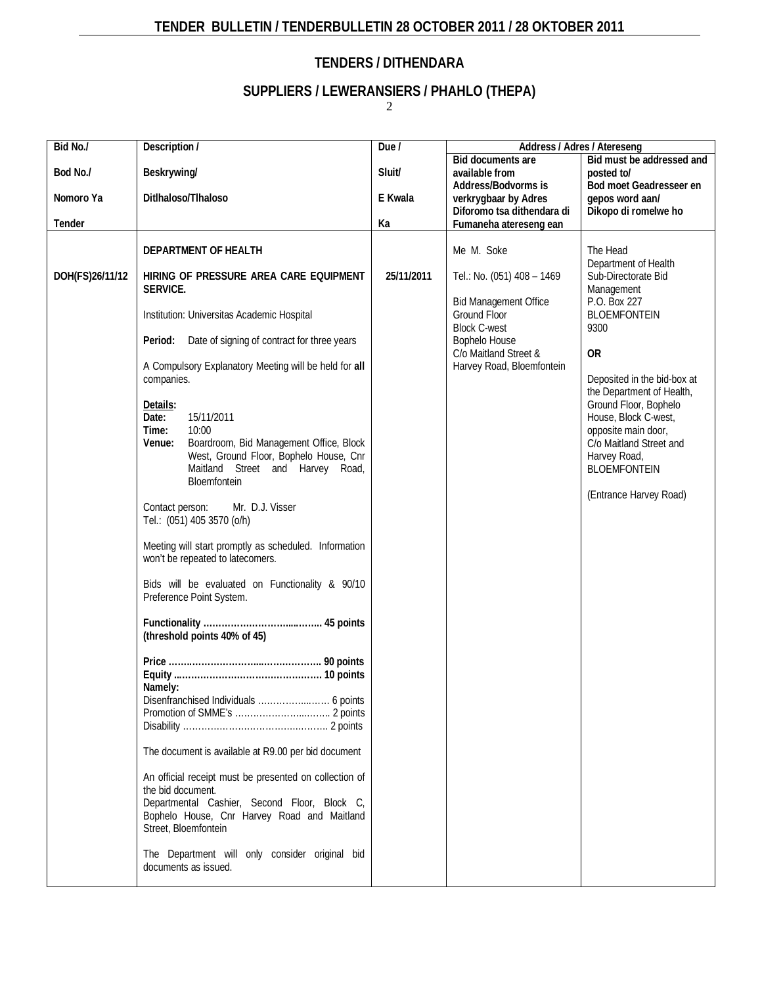# **TENDER BULLETIN / TENDERBULLETIN 28 OCTOBER 2011 / 28 OKTOBER 2011**

# **TENDERS / DITHENDARA**

# **SUPPLIERS / LEWERANSIERS / PHAHLO (THEPA)**

2

| Bid No./        | Description /                                          | Due /      | Address / Adres / Atereseng  |                                                          |
|-----------------|--------------------------------------------------------|------------|------------------------------|----------------------------------------------------------|
|                 |                                                        |            | Bid documents are            | Bid must be addressed and                                |
| Bod No./        | Beskrywing/                                            | Sluit/     | available from               | posted to/                                               |
|                 |                                                        |            | Address/Bodvorms is          | Bod moet Geadresseer en                                  |
| Nomoro Ya       | Ditlhaloso/Tlhaloso                                    | E Kwala    | verkrygbaar by Adres         | gepos word aan/                                          |
|                 |                                                        |            | Diforomo tsa dithendara di   | Dikopo di romelwe ho                                     |
| Tender          |                                                        | Ka         | Fumaneha atereseng ean       |                                                          |
|                 | DEPARTMENT OF HEALTH                                   |            | Me M. Soke                   | The Head                                                 |
|                 |                                                        |            |                              | Department of Health                                     |
| DOH(FS)26/11/12 | HIRING OF PRESSURE AREA CARE EQUIPMENT                 | 25/11/2011 | Tel.: No. (051) 408 - 1469   | Sub-Directorate Bid                                      |
|                 | SERVICE.                                               |            |                              | Management                                               |
|                 |                                                        |            | <b>Bid Management Office</b> | P.O. Box 227                                             |
|                 | Institution: Universitas Academic Hospital             |            | Ground Floor                 | <b>BLOEMFONTEIN</b>                                      |
|                 |                                                        |            | <b>Block C-west</b>          | 9300                                                     |
|                 | Date of signing of contract for three years<br>Period: |            | Bophelo House                |                                                          |
|                 |                                                        |            | C/o Maitland Street &        | <b>OR</b>                                                |
|                 | A Compulsory Explanatory Meeting will be held for all  |            | Harvey Road, Bloemfontein    |                                                          |
|                 | companies.                                             |            |                              | Deposited in the bid-box at<br>the Department of Health, |
|                 | Details:                                               |            |                              | Ground Floor, Bophelo                                    |
|                 | Date:<br>15/11/2011                                    |            |                              | House, Block C-west,                                     |
|                 | Time:<br>10:00                                         |            |                              | opposite main door,                                      |
|                 | Venue:<br>Boardroom, Bid Management Office, Block      |            |                              | C/o Maitland Street and                                  |
|                 | West, Ground Floor, Bophelo House, Cnr                 |            |                              | Harvey Road,                                             |
|                 | Maitland Street and Harvey Road,                       |            |                              | <b>BLOEMFONTEIN</b>                                      |
|                 | Bloemfontein                                           |            |                              |                                                          |
|                 |                                                        |            |                              | (Entrance Harvey Road)                                   |
|                 | Mr. D.J. Visser<br>Contact person:                     |            |                              |                                                          |
|                 | Tel.: (051) 405 3570 (o/h)                             |            |                              |                                                          |
|                 | Meeting will start promptly as scheduled. Information  |            |                              |                                                          |
|                 | won't be repeated to latecomers.                       |            |                              |                                                          |
|                 |                                                        |            |                              |                                                          |
|                 | Bids will be evaluated on Functionality & 90/10        |            |                              |                                                          |
|                 | Preference Point System.                               |            |                              |                                                          |
|                 |                                                        |            |                              |                                                          |
|                 |                                                        |            |                              |                                                          |
|                 | (threshold points 40% of 45)                           |            |                              |                                                          |
|                 |                                                        |            |                              |                                                          |
|                 |                                                        |            |                              |                                                          |
|                 | Namely:                                                |            |                              |                                                          |
|                 |                                                        |            |                              |                                                          |
|                 |                                                        |            |                              |                                                          |
|                 |                                                        |            |                              |                                                          |
|                 |                                                        |            |                              |                                                          |
|                 | The document is available at R9.00 per bid document    |            |                              |                                                          |
|                 | An official receipt must be presented on collection of |            |                              |                                                          |
|                 | the bid document.                                      |            |                              |                                                          |
|                 | Departmental Cashier, Second Floor, Block C,           |            |                              |                                                          |
|                 | Bophelo House, Cnr Harvey Road and Maitland            |            |                              |                                                          |
|                 | Street, Bloemfontein                                   |            |                              |                                                          |
|                 |                                                        |            |                              |                                                          |
|                 | The Department will only consider original bid         |            |                              |                                                          |
|                 | documents as issued.                                   |            |                              |                                                          |
|                 |                                                        |            |                              |                                                          |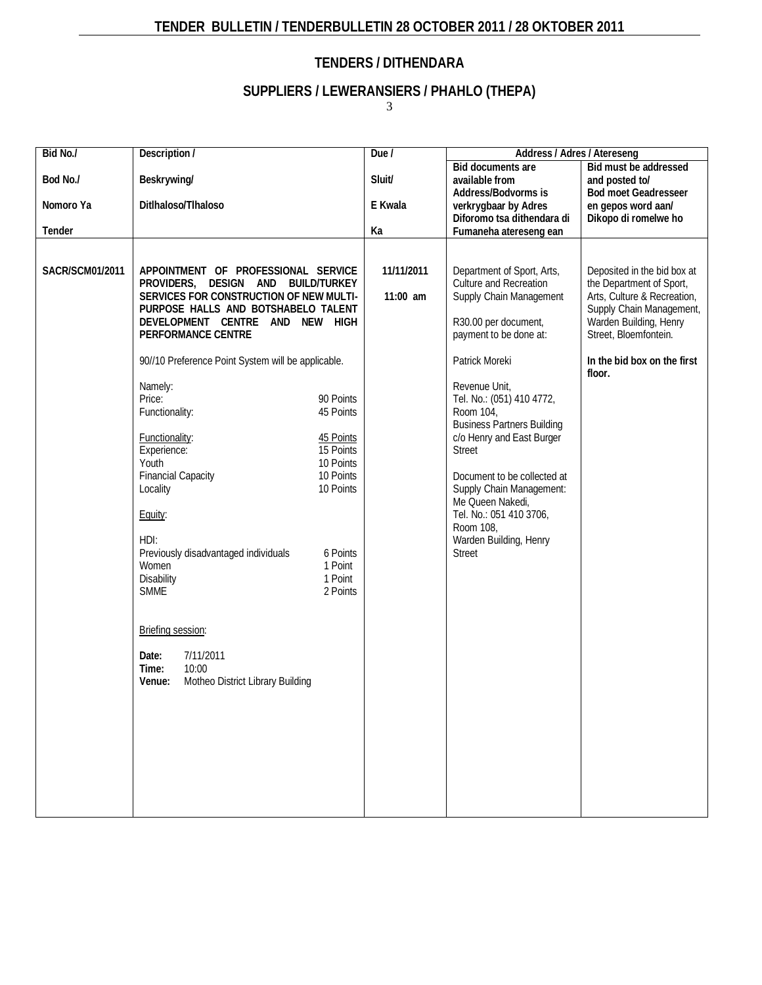# **TENDER BULLETIN / TENDERBULLETIN 28 OCTOBER 2011 / 28 OKTOBER 2011**

# **TENDERS / DITHENDARA**

# **SUPPLIERS / LEWERANSIERS / PHAHLO (THEPA)**

3

| Bid No./              | Description /                                                                                                                                                                                                                                                                                                                                                                                                                                                                                                                                                                                                                                                                                                                                                           | Due /                    | Address / Adres / Atereseng                                                                                                                                                                                                                                                                                                                                                                                                                                                |                                                                                                                                                                                                                |
|-----------------------|-------------------------------------------------------------------------------------------------------------------------------------------------------------------------------------------------------------------------------------------------------------------------------------------------------------------------------------------------------------------------------------------------------------------------------------------------------------------------------------------------------------------------------------------------------------------------------------------------------------------------------------------------------------------------------------------------------------------------------------------------------------------------|--------------------------|----------------------------------------------------------------------------------------------------------------------------------------------------------------------------------------------------------------------------------------------------------------------------------------------------------------------------------------------------------------------------------------------------------------------------------------------------------------------------|----------------------------------------------------------------------------------------------------------------------------------------------------------------------------------------------------------------|
| Bod No./<br>Nomoro Ya | Beskrywing/<br>Ditlhaloso/Tlhaloso                                                                                                                                                                                                                                                                                                                                                                                                                                                                                                                                                                                                                                                                                                                                      | Sluit/<br>E Kwala        | <b>Bid documents are</b><br>available from<br>Address/Bodvorms is<br>verkrygbaar by Adres<br>Diforomo tsa dithendara di                                                                                                                                                                                                                                                                                                                                                    | Bid must be addressed<br>and posted to/<br><b>Bod moet Geadresseer</b><br>en gepos word aan/<br>Dikopo di romelwe ho                                                                                           |
| Tender                |                                                                                                                                                                                                                                                                                                                                                                                                                                                                                                                                                                                                                                                                                                                                                                         | Ka                       | Fumaneha atereseng ean                                                                                                                                                                                                                                                                                                                                                                                                                                                     |                                                                                                                                                                                                                |
| SACR/SCM01/2011       | APPOINTMENT OF PROFESSIONAL SERVICE<br>PROVIDERS, DESIGN AND BUILD/TURKEY<br>SERVICES FOR CONSTRUCTION OF NEW MULTI-<br>PURPOSE HALLS AND BOTSHABELO TALENT<br>DEVELOPMENT CENTRE AND NEW HIGH<br>PERFORMANCE CENTRE<br>90//10 Preference Point System will be applicable.<br>Namely:<br>90 Points<br>Price:<br>Functionality:<br>45 Points<br>45 Points<br><b>Functionality:</b><br>15 Points<br>Experience:<br>Youth<br>10 Points<br><b>Financial Capacity</b><br>10 Points<br>Locality<br>10 Points<br>Equity:<br>HDI:<br>Previously disadvantaged individuals<br>6 Points<br>Women<br>1 Point<br><b>Disability</b><br>1 Point<br><b>SMME</b><br>2 Points<br>Briefing session:<br>7/11/2011<br>Date:<br>Time:<br>10:00<br>Motheo District Library Building<br>Venue: | 11/11/2011<br>$11:00$ am | Department of Sport, Arts,<br><b>Culture and Recreation</b><br>Supply Chain Management<br>R30.00 per document,<br>payment to be done at:<br>Patrick Moreki<br>Revenue Unit,<br>Tel. No.: (051) 410 4772,<br>Room 104,<br><b>Business Partners Building</b><br>c/o Henry and East Burger<br><b>Street</b><br>Document to be collected at<br>Supply Chain Management:<br>Me Queen Nakedi,<br>Tel. No.: 051 410 3706,<br>Room 108,<br>Warden Building, Henry<br><b>Street</b> | Deposited in the bid box at<br>the Department of Sport,<br>Arts, Culture & Recreation,<br>Supply Chain Management,<br>Warden Building, Henry<br>Street, Bloemfontein.<br>In the bid box on the first<br>floor. |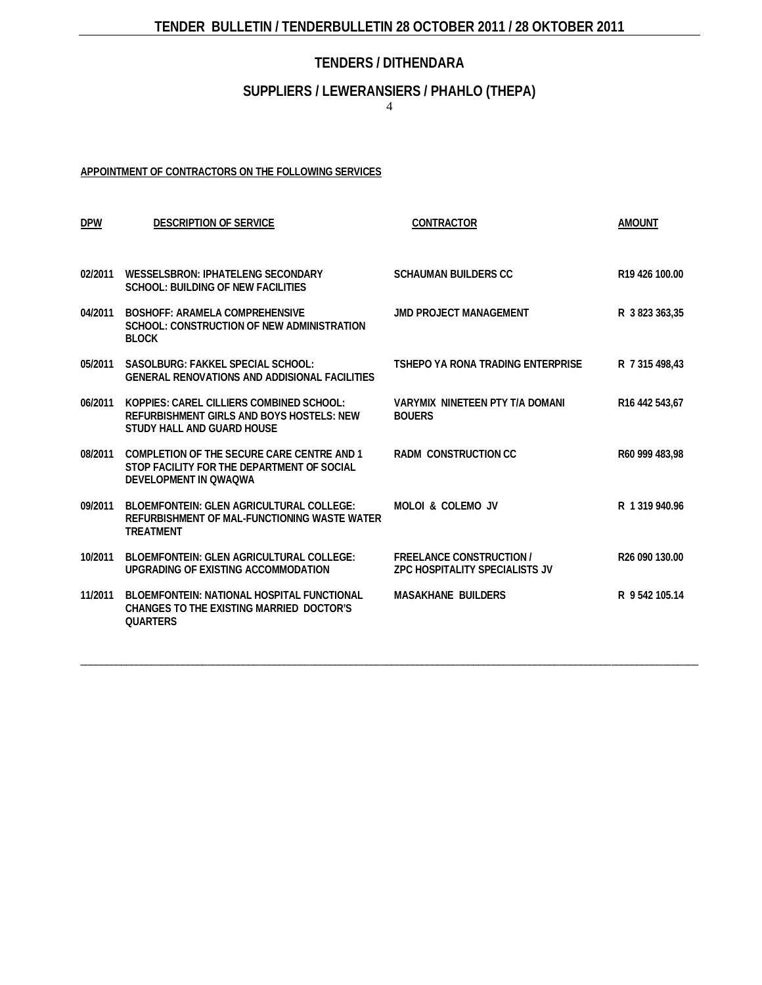## **TENDERS / DITHENDARA**

## **SUPPLIERS / LEWERANSIERS / PHAHLO (THEPA)**

4

#### **APPOINTMENT OF [CONTRACTORS](http://greengazette.co.za/acts/act_1969-049) ON THE FOLLOWING SERVICES**

| <b>DPW</b> | <b>DESCRIPTION OF SERVICE</b>                                                                                       | CONTRACTOR                                                               | <b>AMOUNT</b>              |
|------------|---------------------------------------------------------------------------------------------------------------------|--------------------------------------------------------------------------|----------------------------|
| 02/2011    | <b>WESSELSBRON: IPHATELENG SECONDARY</b><br><b>SCHOOL: BUILDING OF NEW FACILITIES</b>                               | <b>SCHAUMAN BUILDERS CC</b>                                              | R <sub>19</sub> 426 100.00 |
| 04/2011    | <b>BOSHOFF: ARAMELA COMPREHENSIVE</b><br>SCHOOL: CONSTRUCTION OF NEW ADMINISTRATION<br><b>BLOCK</b>                 | <b>JMD PROJECT MANAGEMENT</b>                                            | R 3 823 363,35             |
| 05/2011    | SASOLBURG: FAKKEL SPECIAL SCHOOL:<br><b>GENERAL RENOVATIONS AND ADDISIONAL FACILITIES</b>                           | TSHEPO YA RONA TRADING ENTERPRISE                                        | R 7 315 498,43             |
| 06/2011    | KOPPIES: CAREL CILLIERS COMBINED SCHOOL:<br>REFURBISHMENT GIRLS AND BOYS HOSTELS: NEW<br>STUDY HALL AND GUARD HOUSE | <b>VARYMIX NINETEEN PTY T/A DOMANI</b><br><b>BOUERS</b>                  | R <sub>16</sub> 442 543,67 |
| 08/2011    | COMPLETION OF THE SECURE CARE CENTRE AND 1<br>STOP FACILITY FOR THE DEPARTMENT OF SOCIAL<br>DEVELOPMENT IN OWAOWA   | <b>RADM CONSTRUCTION CC</b>                                              | R60 999 483.98             |
| 09/2011    | BI OFMFONTFIN: GI FN AGRICULTURAL COLLEGE:<br>REFURBISHMENT OF MAL-FUNCTIONING WASTE WATER<br><b>TREATMENT</b>      | MOLOL & COLEMO JV                                                        | R 1 319 940.96             |
| 10/2011    | <b>BLOEMFONTEIN: GLEN AGRICULTURAL COLLEGE:</b><br>UPGRADING OF EXISTING ACCOMMODATION                              | <b>FREELANCE CONSTRUCTION /</b><br><b>7PC HOSPITALITY SPECIALISTS JV</b> | R <sub>26</sub> 090 130.00 |
| 11/2011    | BLOEMFONTEIN: NATIONAL HOSPITAL FUNCTIONAL<br>CHANGES TO THE EXISTING MARRIED DOCTOR'S<br><b>OUARTERS</b>           | <b>MASAKHANE BUILDERS</b>                                                | R 9 542 105.14             |

\_\_\_\_\_\_\_\_\_\_\_\_\_\_\_\_\_\_\_\_\_\_\_\_\_\_\_\_\_\_\_\_\_\_\_\_\_\_\_\_\_\_\_\_\_\_\_\_\_\_\_\_\_\_\_\_\_\_\_\_\_\_\_\_\_\_\_\_\_\_\_\_\_\_\_\_\_\_\_\_\_\_\_\_\_\_\_\_\_\_\_\_\_\_\_\_\_\_\_\_\_\_\_\_\_\_\_\_\_\_\_\_\_\_\_\_\_\_\_\_\_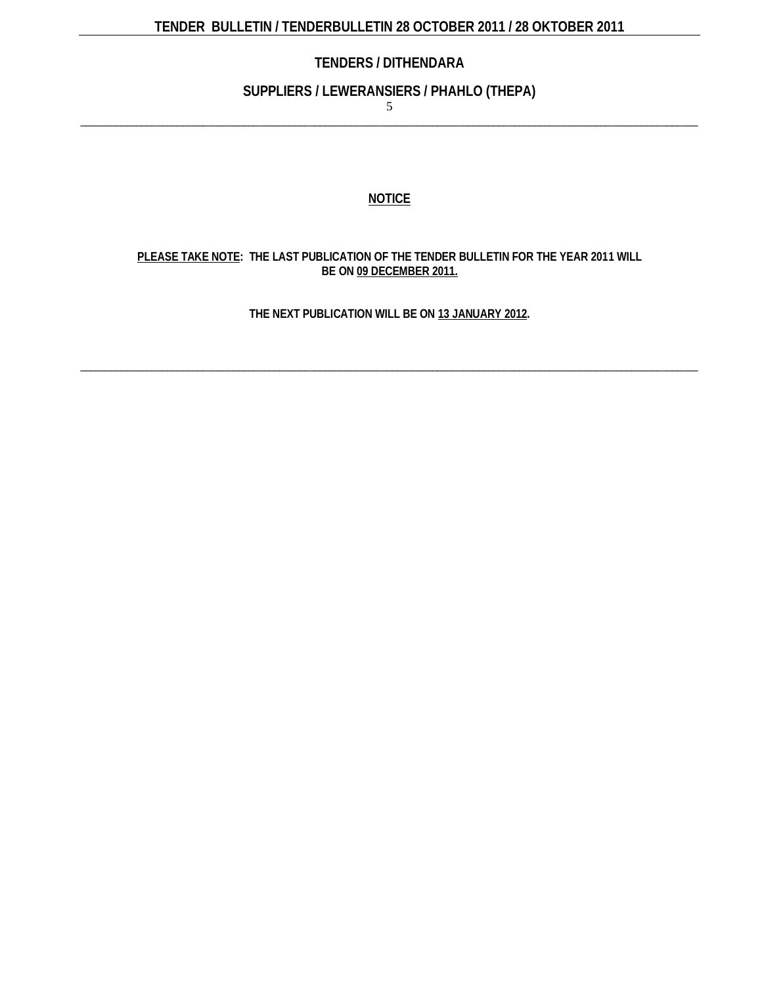# **TENDERS / DITHENDARA**

#### **SUPPLIERS / LEWERANSIERS / PHAHLO (THEPA)**

5 \_\_\_\_\_\_\_\_\_\_\_\_\_\_\_\_\_\_\_\_\_\_\_\_\_\_\_\_\_\_\_\_\_\_\_\_\_\_\_\_\_\_\_\_\_\_\_\_\_\_\_\_\_\_\_\_\_\_\_\_\_\_\_\_\_\_\_\_\_\_\_\_\_\_\_\_\_\_\_\_\_\_\_\_\_\_\_\_\_\_\_\_\_\_\_\_\_\_\_\_\_\_\_\_\_\_\_\_\_\_\_\_\_\_\_\_\_\_\_\_\_

#### **NOTICE**

#### **PLEASE TAKE NOTE: THE LAST PUBLICATION OF THE TENDER BULLETIN FOR THE YEAR 2011 WILL BE ON 09 DECEMBER 2011.**

**THE NEXT PUBLICATION WILL BE ON 13 JANUARY 2012.**

\_\_\_\_\_\_\_\_\_\_\_\_\_\_\_\_\_\_\_\_\_\_\_\_\_\_\_\_\_\_\_\_\_\_\_\_\_\_\_\_\_\_\_\_\_\_\_\_\_\_\_\_\_\_\_\_\_\_\_\_\_\_\_\_\_\_\_\_\_\_\_\_\_\_\_\_\_\_\_\_\_\_\_\_\_\_\_\_\_\_\_\_\_\_\_\_\_\_\_\_\_\_\_\_\_\_\_\_\_\_\_\_\_\_\_\_\_\_\_\_\_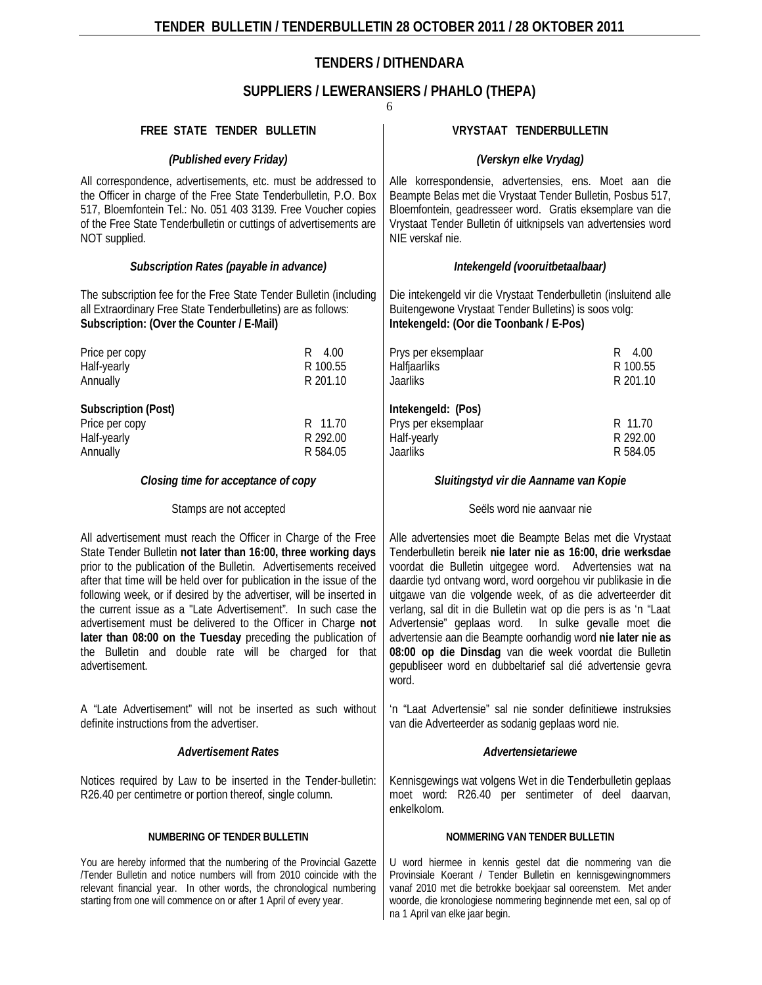# **TENDERS / DITHENDARA**

# **SUPPLIERS / LEWERANSIERS / PHAHLO (THEPA)**

|                                                                                                                                                                                                                                                                                                                                                                                                                                                                                                                                                                                                                                    |                                 | 6                                                                                                                                                                                                                                                                                                                                                                                                                                                                                                                                                                                                                                            |                                 |  |
|------------------------------------------------------------------------------------------------------------------------------------------------------------------------------------------------------------------------------------------------------------------------------------------------------------------------------------------------------------------------------------------------------------------------------------------------------------------------------------------------------------------------------------------------------------------------------------------------------------------------------------|---------------------------------|----------------------------------------------------------------------------------------------------------------------------------------------------------------------------------------------------------------------------------------------------------------------------------------------------------------------------------------------------------------------------------------------------------------------------------------------------------------------------------------------------------------------------------------------------------------------------------------------------------------------------------------------|---------------------------------|--|
| FREE STATE TENDER BULLETIN                                                                                                                                                                                                                                                                                                                                                                                                                                                                                                                                                                                                         |                                 | VRYSTAAT TENDERBULLETIN                                                                                                                                                                                                                                                                                                                                                                                                                                                                                                                                                                                                                      |                                 |  |
| (Published every Friday)                                                                                                                                                                                                                                                                                                                                                                                                                                                                                                                                                                                                           |                                 | (Verskyn elke Vrydag)                                                                                                                                                                                                                                                                                                                                                                                                                                                                                                                                                                                                                        |                                 |  |
| All correspondence, advertisements, etc. must be addressed to<br>the Officer in charge of the Free State Tenderbulletin, P.O. Box<br>517, Bloemfontein Tel.: No. 051 403 3139. Free Voucher copies<br>of the Free State Tenderbulletin or cuttings of advertisements are<br>NOT supplied.                                                                                                                                                                                                                                                                                                                                          |                                 | Alle korrespondensie, advertensies, ens. Moet aan die<br>Beampte Belas met die Vrystaat Tender Bulletin, Posbus 517,<br>Bloemfontein, geadresseer word. Gratis eksemplare van die<br>Vrystaat Tender Bulletin of uitknipsels van advertensies word<br>NIE verskaf nie.                                                                                                                                                                                                                                                                                                                                                                       |                                 |  |
| Subscription Rates (payable in advance)                                                                                                                                                                                                                                                                                                                                                                                                                                                                                                                                                                                            |                                 | Intekengeld (vooruitbetaalbaar)                                                                                                                                                                                                                                                                                                                                                                                                                                                                                                                                                                                                              |                                 |  |
| The subscription fee for the Free State Tender Bulletin (including<br>all Extraordinary Free State Tenderbulletins) are as follows:<br>Subscription: (Over the Counter / E-Mail)                                                                                                                                                                                                                                                                                                                                                                                                                                                   |                                 | Die intekengeld vir die Vrystaat Tenderbulletin (insluitend alle<br>Buitengewone Vrystaat Tender Bulletins) is soos volg:<br>Intekengeld: (Oor die Toonbank / E-Pos)                                                                                                                                                                                                                                                                                                                                                                                                                                                                         |                                 |  |
| Price per copy<br>Half-yearly<br>Annually                                                                                                                                                                                                                                                                                                                                                                                                                                                                                                                                                                                          | R 4.00<br>R 100.55<br>R 201.10  | Prys per eksemplaar<br>Halfjaarliks<br>Jaarliks                                                                                                                                                                                                                                                                                                                                                                                                                                                                                                                                                                                              | R 4.00<br>R 100.55<br>R 201.10  |  |
| <b>Subscription (Post)</b><br>Price per copy<br>Half-yearly<br>Annually                                                                                                                                                                                                                                                                                                                                                                                                                                                                                                                                                            | R 11.70<br>R 292.00<br>R 584.05 | Intekengeld: (Pos)<br>Prys per eksemplaar<br>Half-yearly<br>Jaarliks                                                                                                                                                                                                                                                                                                                                                                                                                                                                                                                                                                         | R 11.70<br>R 292.00<br>R 584.05 |  |
| Closing time for acceptance of copy                                                                                                                                                                                                                                                                                                                                                                                                                                                                                                                                                                                                |                                 | Sluitingstyd vir die Aanname van Kopie                                                                                                                                                                                                                                                                                                                                                                                                                                                                                                                                                                                                       |                                 |  |
| Stamps are not accepted                                                                                                                                                                                                                                                                                                                                                                                                                                                                                                                                                                                                            |                                 | Seëls word nie aanvaar nie                                                                                                                                                                                                                                                                                                                                                                                                                                                                                                                                                                                                                   |                                 |  |
| All advertisement must reach the Officer in Charge of the Free<br>State Tender Bulletin not later than 16:00, three working days<br>prior to the publication of the Bulletin. Advertisements received<br>after that time will be held over for publication in the issue of the<br>following week, or if desired by the advertiser, will be inserted in<br>the current issue as a "Late Advertisement". In such case the<br>advertisement must be delivered to the Officer in Charge not<br>later than 08:00 on the Tuesday preceding the publication of<br>the Bulletin and double rate will be charged for that<br>advertisement. |                                 | Alle advertensies moet die Beampte Belas met die Vrystaat<br>Tenderbulletin bereik nie later nie as 16:00, drie werksdae<br>voordat die Bulletin uitgegee word. Advertensies wat na<br>daardie tyd ontvang word, word oorgehou vir publikasie in die<br>uitgawe van die volgende week, of as die adverteerder dit<br>verlang, sal dit in die Bulletin wat op die pers is as 'n "Laat<br>Advertensie" geplaas word. In sulke gevalle moet die<br>advertensie aan die Beampte oorhandig word nie later nie as<br>08:00 op die Dinsdag van die week voordat die Bulletin<br>gepubliseer word en dubbeltarief sal dié advertensie gevra<br>word. |                                 |  |
| A "Late Advertisement" will not be inserted as such without<br>definite instructions from the advertiser.                                                                                                                                                                                                                                                                                                                                                                                                                                                                                                                          |                                 | 'n "Laat Advertensie" sal nie sonder definitiewe instruksies<br>van die Adverteerder as sodanig geplaas word nie.                                                                                                                                                                                                                                                                                                                                                                                                                                                                                                                            |                                 |  |
| <b>Advertisement Rates</b>                                                                                                                                                                                                                                                                                                                                                                                                                                                                                                                                                                                                         |                                 | Advertensietariewe                                                                                                                                                                                                                                                                                                                                                                                                                                                                                                                                                                                                                           |                                 |  |
| Notices required by Law to be inserted in the Tender-bulletin:<br>R26.40 per centimetre or portion thereof, single column.                                                                                                                                                                                                                                                                                                                                                                                                                                                                                                         |                                 | Kennisgewings wat volgens Wet in die Tenderbulletin geplaas<br>moet word: R26.40 per sentimeter of deel daarvan,<br>enkelkolom.                                                                                                                                                                                                                                                                                                                                                                                                                                                                                                              |                                 |  |
| NUMBERING OF TENDER BULLETIN                                                                                                                                                                                                                                                                                                                                                                                                                                                                                                                                                                                                       |                                 | NOMMERING VAN TENDER BULLETIN                                                                                                                                                                                                                                                                                                                                                                                                                                                                                                                                                                                                                |                                 |  |
| You are hereby informed that the numbering of the Provincial Gazette<br>Tender Bulletin and notice numbers will from 2010 coincide with the<br>relevant financial year. In other words, the chronological numbering<br>starting from one will commence on or after 1 April of every year.                                                                                                                                                                                                                                                                                                                                          |                                 | U word hiermee in kennis gestel dat die nommering van die<br>Provinsiale Koerant / Tender Bulletin en kennisgewingnommers<br>vanaf 2010 met die betrokke boekjaar sal ooreenstem. Met ander<br>woorde, die kronologiese nommering beginnende met een, sal op of<br>na 1 April van elke jaar begin.                                                                                                                                                                                                                                                                                                                                           |                                 |  |